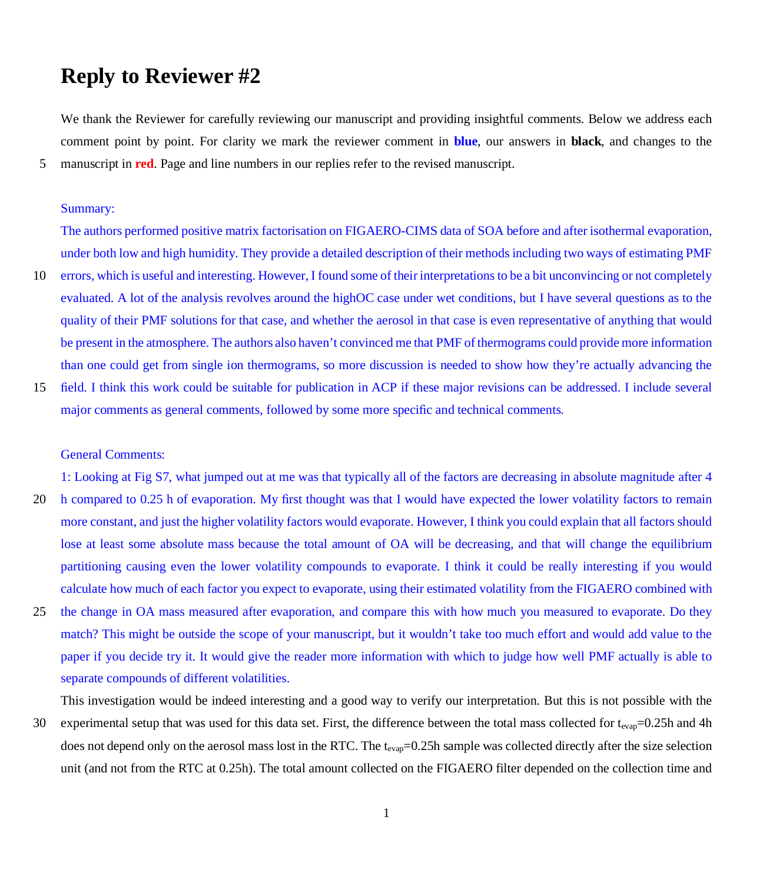# **Reply to Reviewer #2**

We thank the Reviewer for carefully reviewing our manuscript and providing insightful comments. Below we address each comment point by point. For clarity we mark the reviewer comment in **blue**, our answers in **black**, and changes to the 5 manuscript in **red**. Page and line numbers in our replies refer to the revised manuscript.

#### Summary:

The authors performed positive matrix factorisation on FIGAERO-CIMS data of SOA before and after isothermal evaporation, under both low and high humidity. They provide a detailed description of their methods including two ways of estimating PMF

- 10 errors, which is useful and interesting. However, I found some of their interpretations to be a bit unconvincing or not completely evaluated. A lot of the analysis revolves around the highOC case under wet conditions, but I have several questions as to the quality of their PMF solutions for that case, and whether the aerosol in that case is even representative of anything that would be present in the atmosphere. The authors also haven't convinced me that PMF of thermograms could provide more information than one could get from single ion thermograms, so more discussion is needed to show how they're actually advancing the
- 15 field. I think this work could be suitable for publication in ACP if these major revisions can be addressed. I include several major comments as general comments, followed by some more specific and technical comments.

### General Comments:

1: Looking at Fig S7, what jumped out at me was that typically all of the factors are decreasing in absolute magnitude after 4 20 h compared to 0.25 h of evaporation. My first thought was that I would have expected the lower volatility factors to remain more constant, and just the higher volatility factors would evaporate. However, I think you could explain that all factors should lose at least some absolute mass because the total amount of OA will be decreasing, and that will change the equilibrium partitioning causing even the lower volatility compounds to evaporate. I think it could be really interesting if you would

25 the change in OA mass measured after evaporation, and compare this with how much you measured to evaporate. Do they match? This might be outside the scope of your manuscript, but it wouldn't take too much effort and would add value to the paper if you decide try it. It would give the reader more information with which to judge how well PMF actually is able to separate compounds of different volatilities.

calculate how much of each factor you expect to evaporate, using their estimated volatility from the FIGAERO combined with

This investigation would be indeed interesting and a good way to verify our interpretation. But this is not possible with the

30 experimental setup that was used for this data set. First, the difference between the total mass collected for  $t_{evap}$ =0.25h and 4h does not depend only on the aerosol mass lost in the RTC. The t<sub>evap</sub>=0.25h sample was collected directly after the size selection unit (and not from the RTC at 0.25h). The total amount collected on the FIGAERO filter depended on the collection time and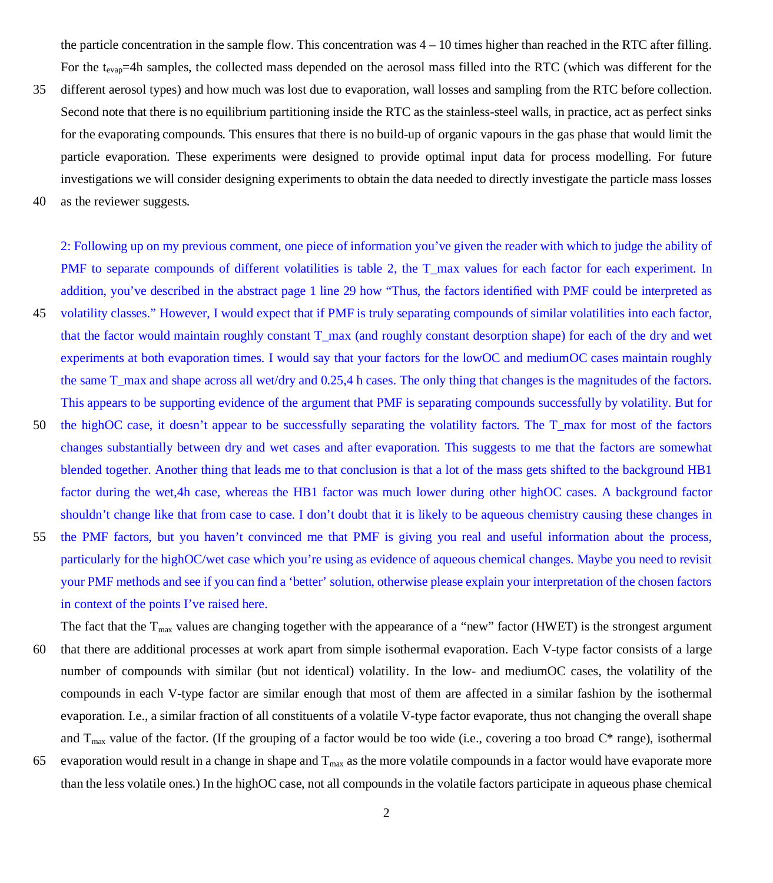the particle concentration in the sample flow. This concentration was  $4 - 10$  times higher than reached in the RTC after filling. For the t<sub>evap</sub>=4h samples, the collected mass depended on the aerosol mass filled into the RTC (which was different for the

- 35 different aerosol types) and how much was lost due to evaporation, wall losses and sampling from the RTC before collection. Second note that there is no equilibrium partitioning inside the RTC as the stainless-steel walls, in practice, act as perfect sinks for the evaporating compounds. This ensures that there is no build-up of organic vapours in the gas phase that would limit the particle evaporation. These experiments were designed to provide optimal input data for process modelling. For future investigations we will consider designing experiments to obtain the data needed to directly investigate the particle mass losses
- 40 as the reviewer suggests.

2: Following up on my previous comment, one piece of information you've given the reader with which to judge the ability of PMF to separate compounds of different volatilities is table 2, the T\_max values for each factor for each experiment. In addition, you've described in the abstract page 1 line 29 how "Thus, the factors identified with PMF could be interpreted as 45 volatility classes." However, I would expect that if PMF is truly separating compounds of similar volatilities into each factor, that the factor would maintain roughly constant T\_max (and roughly constant desorption shape) for each of the dry and wet experiments at both evaporation times. I would say that your factors for the lowOC and mediumOC cases maintain roughly the same T\_max and shape across all wet/dry and 0.25,4 h cases. The only thing that changes is the magnitudes of the factors. This appears to be supporting evidence of the argument that PMF is separating compounds successfully by volatility. But for

- 50 the highOC case, it doesn't appear to be successfully separating the volatility factors. The T\_max for most of the factors changes substantially between dry and wet cases and after evaporation. This suggests to me that the factors are somewhat blended together. Another thing that leads me to that conclusion is that a lot of the mass gets shifted to the background HB1 factor during the wet,4h case, whereas the HB1 factor was much lower during other highOC cases. A background factor shouldn't change like that from case to case. I don't doubt that it is likely to be aqueous chemistry causing these changes in
- 55 the PMF factors, but you haven't convinced me that PMF is giving you real and useful information about the process, particularly for the highOC/wet case which you're using as evidence of aqueous chemical changes. Maybe you need to revisit your PMF methods and see if you can find a 'better' solution, otherwise please explain your interpretation of the chosen factors in context of the points I've raised here.

The fact that the  $T_{\text{max}}$  values are changing together with the appearance of a "new" factor (HWET) is the strongest argument 60 that there are additional processes at work apart from simple isothermal evaporation. Each V-type factor consists of a large number of compounds with similar (but not identical) volatility. In the low- and mediumOC cases, the volatility of the compounds in each V-type factor are similar enough that most of them are affected in a similar fashion by the isothermal evaporation. I.e., a similar fraction of all constituents of a volatile V-type factor evaporate, thus not changing the overall shape and  $T_{\text{max}}$  value of the factor. (If the grouping of a factor would be too wide (i.e., covering a too broad  $C^*$  range), isothermal

65 evaporation would result in a change in shape and  $T_{\text{max}}$  as the more volatile compounds in a factor would have evaporate more than the less volatile ones.) In the highOC case, not all compounds in the volatile factors participate in aqueous phase chemical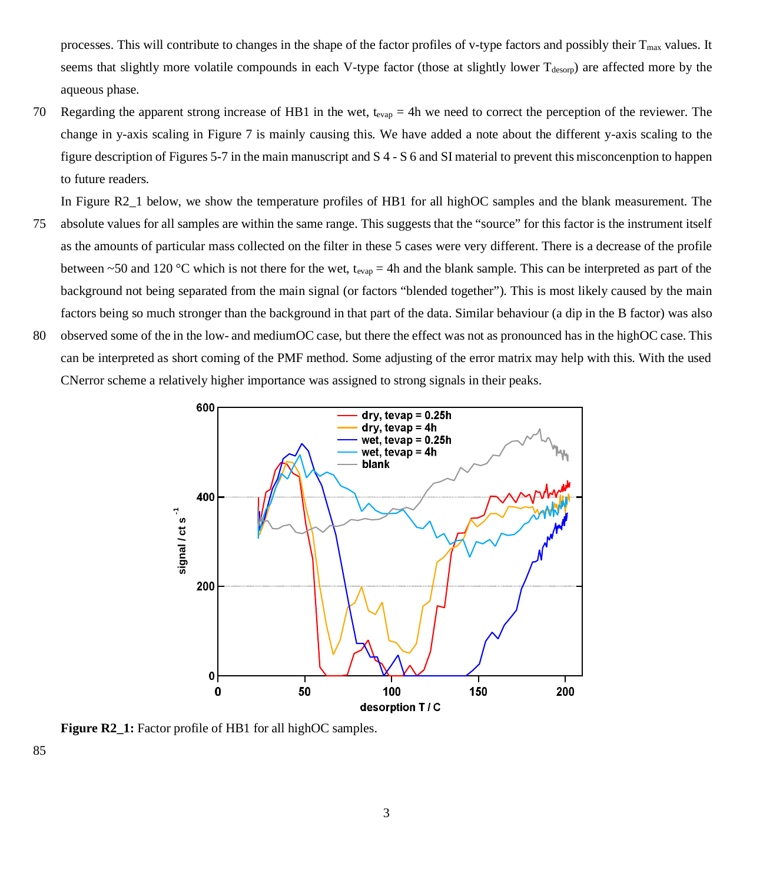processes. This will contribute to changes in the shape of the factor profiles of v-type factors and possibly their Tmax values. It seems that slightly more volatile compounds in each V-type factor (those at slightly lower T<sub>desorp</sub>) are affected more by the aqueous phase.

70 Regarding the apparent strong increase of HB1 in the wet,  $t_{evap} = 4h$  we need to correct the perception of the reviewer. The change in y-axis scaling in Figure 7 is mainly causing this. We have added a note about the different y-axis scaling to the figure description of Figures 5-7 in the main manuscript and S 4 - S 6 and SI material to prevent this misconcenption to happen to future readers.

In Figure R2\_1 below, we show the temperature profiles of HB1 for all highOC samples and the blank measurement. The

- 75 absolute values for all samples are within the same range. This suggests that the "source" for this factor is the instrument itself as the amounts of particular mass collected on the filter in these 5 cases were very different. There is a decrease of the profile between ~50 and 120 °C which is not there for the wet, t<sub>evap</sub> = 4h and the blank sample. This can be interpreted as part of the background not being separated from the main signal (or factors "blended together"). This is most likely caused by the main factors being so much stronger than the background in that part of the data. Similar behaviour (a dip in the B factor) was also
- 80 observed some of the in the low- and mediumOC case, but there the effect was not as pronounced has in the highOC case. This can be interpreted as short coming of the PMF method. Some adjusting of the error matrix may help with this. With the used CNerror scheme a relatively higher importance was assigned to strong signals in their peaks.



Figure R2\_1: Factor profile of HB1 for all highOC samples.

85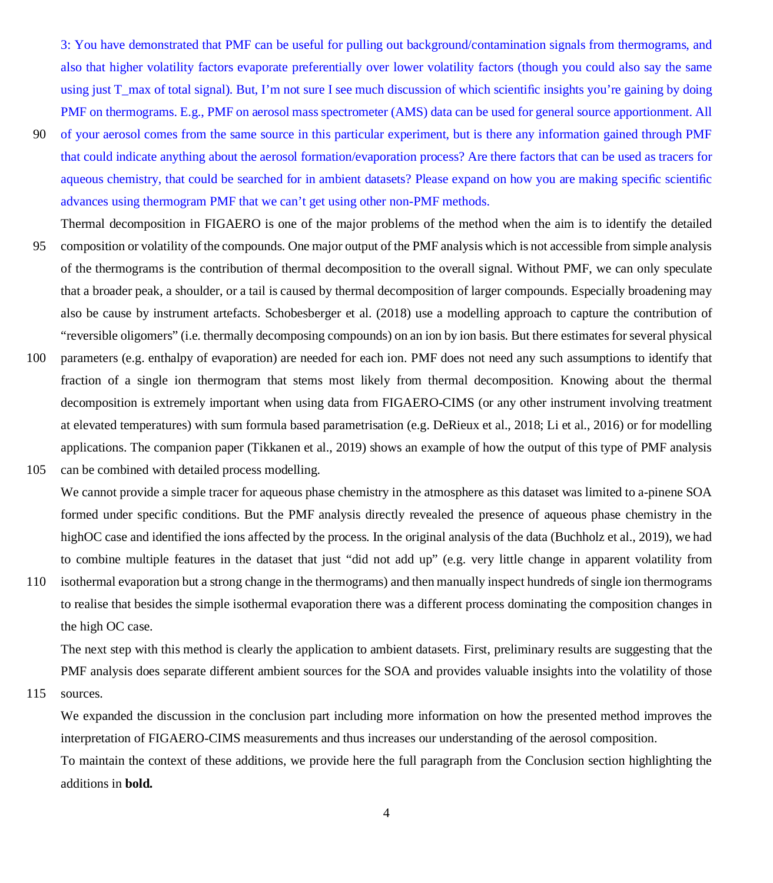3: You have demonstrated that PMF can be useful for pulling out background/contamination signals from thermograms, and also that higher volatility factors evaporate preferentially over lower volatility factors (though you could also say the same using just T\_max of total signal). But, I'm not sure I see much discussion of which scientific insights you're gaining by doing PMF on thermograms. E.g., PMF on aerosol mass spectrometer (AMS) data can be used for general source apportionment. All

- 90 of your aerosol comes from the same source in this particular experiment, but is there any information gained through PMF that could indicate anything about the aerosol formation/evaporation process? Are there factors that can be used as tracers for aqueous chemistry, that could be searched for in ambient datasets? Please expand on how you are making specific scientific advances using thermogram PMF that we can't get using other non-PMF methods.
- Thermal decomposition in FIGAERO is one of the major problems of the method when the aim is to identify the detailed 95 composition or volatility of the compounds. One major output of the PMF analysis which is not accessible from simple analysis of the thermograms is the contribution of thermal decomposition to the overall signal. Without PMF, we can only speculate that a broader peak, a shoulder, or a tail is caused by thermal decomposition of larger compounds. Especially broadening may also be cause by instrument artefacts. Schobesberger et al. (2018) use a modelling approach to capture the contribution of "reversible oligomers" (i.e. thermally decomposing compounds) on an ion by ion basis. But there estimates for several physical
- 100 parameters (e.g. enthalpy of evaporation) are needed for each ion. PMF does not need any such assumptions to identify that fraction of a single ion thermogram that stems most likely from thermal decomposition. Knowing about the thermal decomposition is extremely important when using data from FIGAERO-CIMS (or any other instrument involving treatment at elevated temperatures) with sum formula based parametrisation (e.g. DeRieux et al., 2018; Li et al., 2016) or for modelling applications. The companion paper (Tikkanen et al., 2019) shows an example of how the output of this type of PMF analysis 105 can be combined with detailed process modelling.
	- We cannot provide a simple tracer for aqueous phase chemistry in the atmosphere as this dataset was limited to a-pinene SOA formed under specific conditions. But the PMF analysis directly revealed the presence of aqueous phase chemistry in the highOC case and identified the ions affected by the process. In the original analysis of the data (Buchholz et al., 2019), we had to combine multiple features in the dataset that just "did not add up" (e.g. very little change in apparent volatility from
- 110 isothermal evaporation but a strong change in the thermograms) and then manually inspect hundreds of single ion thermograms to realise that besides the simple isothermal evaporation there was a different process dominating the composition changes in the high OC case.

The next step with this method is clearly the application to ambient datasets. First, preliminary results are suggesting that the PMF analysis does separate different ambient sources for the SOA and provides valuable insights into the volatility of those

115 sources.

We expanded the discussion in the conclusion part including more information on how the presented method improves the interpretation of FIGAERO-CIMS measurements and thus increases our understanding of the aerosol composition.

To maintain the context of these additions, we provide here the full paragraph from the Conclusion section highlighting the additions in **bold.**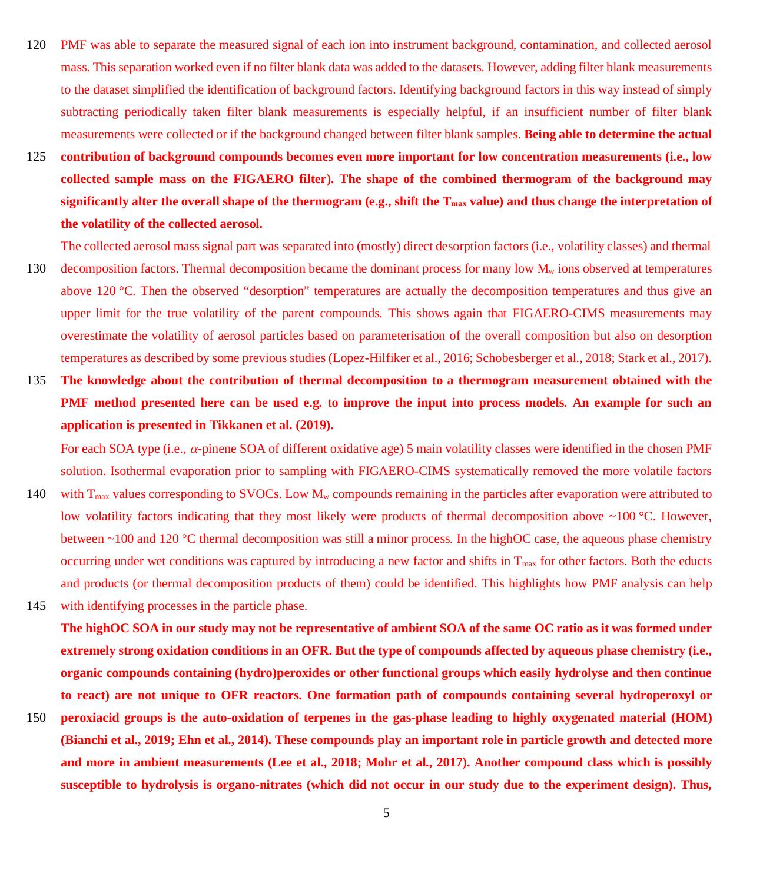- 120 PMF was able to separate the measured signal of each ion into instrument background, contamination, and collected aerosol mass. This separation worked even if no filter blank data was added to the datasets. However, adding filter blank measurements to the dataset simplified the identification of background factors. Identifying background factors in this way instead of simply subtracting periodically taken filter blank measurements is especially helpful, if an insufficient number of filter blank measurements were collected or if the background changed between filter blank samples. **Being able to determine the actual**
- 125 **contribution of background compounds becomes even more important for low concentration measurements (i.e., low collected sample mass on the FIGAERO filter). The shape of the combined thermogram of the background may significantly alter the overall shape of the thermogram (e.g., shift the Tmax value) and thus change the interpretation of the volatility of the collected aerosol.**

The collected aerosol mass signal part was separated into (mostly) direct desorption factors (i.e., volatility classes) and thermal 130 decomposition factors. Thermal decomposition became the dominant process for many low  $M_w$  ions observed at temperatures above 120 °C. Then the observed "desorption" temperatures are actually the decomposition temperatures and thus give an upper limit for the true volatility of the parent compounds. This shows again that FIGAERO-CIMS measurements may overestimate the volatility of aerosol particles based on parameterisation of the overall composition but also on desorption temperatures as described by some previous studies (Lopez-Hilfiker et al., 2016; Schobesberger et al., 2018; Stark et al., 2017).

135 **The knowledge about the contribution of thermal decomposition to a thermogram measurement obtained with the PMF method presented here can be used e.g. to improve the input into process models. An example for such an application is presented in Tikkanen et al. (2019).**

For each SOA type (i.e.,  $\alpha$ -pinene SOA of different oxidative age) 5 main volatility classes were identified in the chosen PMF solution. Isothermal evaporation prior to sampling with FIGAERO-CIMS systematically removed the more volatile factors

- 140 with  $T_{\text{max}}$  values corresponding to SVOCs. Low  $M_w$  compounds remaining in the particles after evaporation were attributed to low volatility factors indicating that they most likely were products of thermal decomposition above  $\sim$ 100 °C. However, between ~100 and 120 °C thermal decomposition was still a minor process. In the highOC case, the aqueous phase chemistry occurring under wet conditions was captured by introducing a new factor and shifts in  $T_{\text{max}}$  for other factors. Both the educts and products (or thermal decomposition products of them) could be identified. This highlights how PMF analysis can help 145 with identifying processes in the particle phase.
- **The highOC SOA in our study may not be representative of ambient SOA of the same OC ratio as it was formed under extremely strong oxidation conditions in an OFR. But the type of compounds affected by aqueous phase chemistry (i.e., organic compounds containing (hydro)peroxides or other functional groups which easily hydrolyse and then continue to react) are not unique to OFR reactors. One formation path of compounds containing several hydroperoxyl or**
- 150 **peroxiacid groups is the auto-oxidation of terpenes in the gas-phase leading to highly oxygenated material (HOM) (Bianchi et al., 2019; Ehn et al., 2014). These compounds play an important role in particle growth and detected more and more in ambient measurements (Lee et al., 2018; Mohr et al., 2017). Another compound class which is possibly susceptible to hydrolysis is organo-nitrates (which did not occur in our study due to the experiment design). Thus,**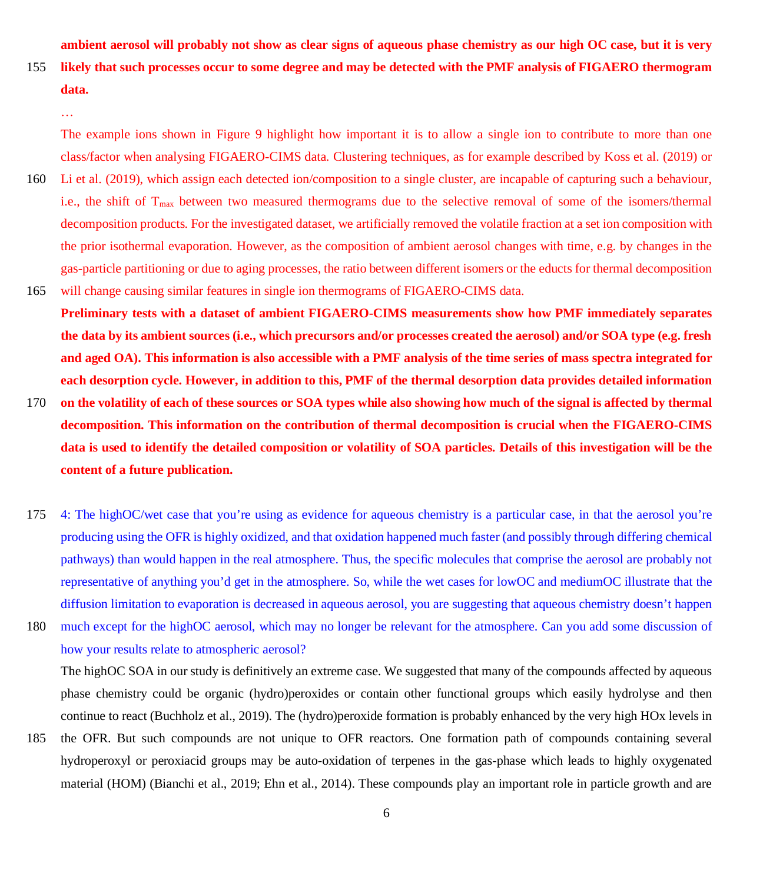**ambient aerosol will probably not show as clear signs of aqueous phase chemistry as our high OC case, but it is very**

155 **likely that such processes occur to some degree and may be detected with the PMF analysis of FIGAERO thermogram data.**

The example ions shown in Figure 9 highlight how important it is to allow a single ion to contribute to more than one class/factor when analysing FIGAERO-CIMS data. Clustering techniques, as for example described by Koss et al. (2019) or

- 160 Li et al. (2019), which assign each detected ion/composition to a single cluster, are incapable of capturing such a behaviour, i.e., the shift of  $T_{\text{max}}$  between two measured thermograms due to the selective removal of some of the isomers/thermal decomposition products. For the investigated dataset, we artificially removed the volatile fraction at a set ion composition with the prior isothermal evaporation. However, as the composition of ambient aerosol changes with time, e.g. by changes in the gas-particle partitioning or due to aging processes, the ratio between different isomers or the educts for thermal decomposition 165 will change causing similar features in single ion thermograms of FIGAERO-CIMS data.
- **Preliminary tests with a dataset of ambient FIGAERO-CIMS measurements show how PMF immediately separates the data by its ambient sources (i.e., which precursors and/or processes created the aerosol) and/or SOA type (e.g. fresh and aged OA). This information is also accessible with a PMF analysis of the time series of mass spectra integrated for each desorption cycle. However, in addition to this, PMF of the thermal desorption data provides detailed information**
- 170 **on the volatility of each of these sources or SOA types while also showing how much of the signal is affected by thermal decomposition. This information on the contribution of thermal decomposition is crucial when the FIGAERO-CIMS data is used to identify the detailed composition or volatility of SOA particles. Details of this investigation will be the content of a future publication.**
- 175 4: The highOC/wet case that you're using as evidence for aqueous chemistry is a particular case, in that the aerosol you're producing using the OFR is highly oxidized, and that oxidation happened much faster (and possibly through differing chemical pathways) than would happen in the real atmosphere. Thus, the specific molecules that comprise the aerosol are probably not representative of anything you'd get in the atmosphere. So, while the wet cases for lowOC and mediumOC illustrate that the diffusion limitation to evaporation is decreased in aqueous aerosol, you are suggesting that aqueous chemistry doesn't happen

180 much except for the highOC aerosol, which may no longer be relevant for the atmosphere. Can you add some discussion of how your results relate to atmospheric aerosol?

The highOC SOA in our study is definitively an extreme case. We suggested that many of the compounds affected by aqueous phase chemistry could be organic (hydro)peroxides or contain other functional groups which easily hydrolyse and then continue to react (Buchholz et al., 2019). The (hydro)peroxide formation is probably enhanced by the very high HOx levels in

185 the OFR. But such compounds are not unique to OFR reactors. One formation path of compounds containing several hydroperoxyl or peroxiacid groups may be auto-oxidation of terpenes in the gas-phase which leads to highly oxygenated material (HOM) (Bianchi et al., 2019; Ehn et al., 2014). These compounds play an important role in particle growth and are

<sup>…</sup>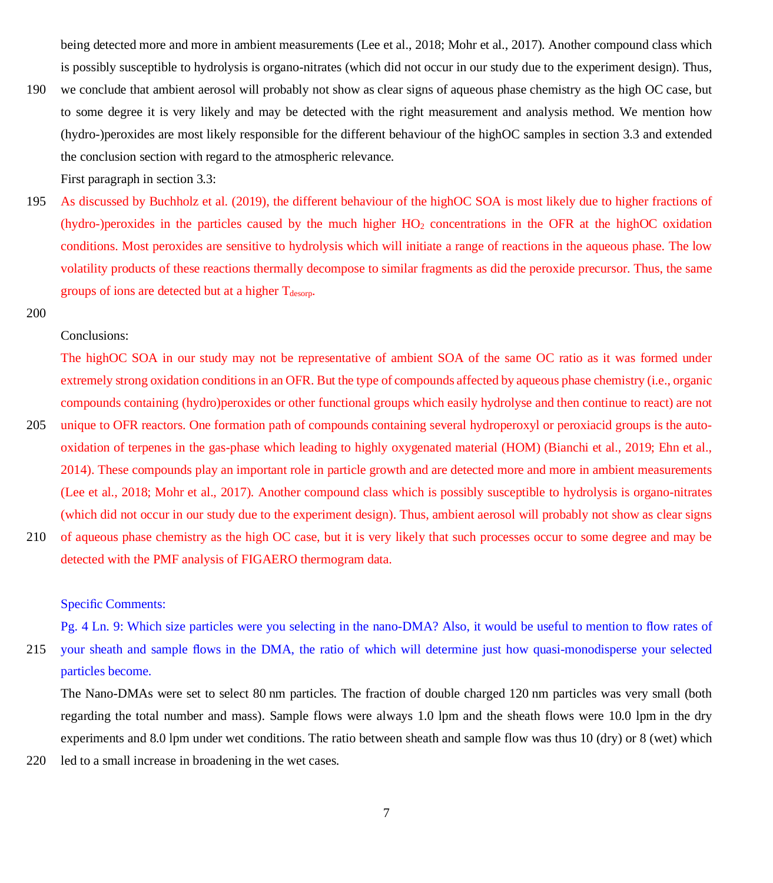being detected more and more in ambient measurements (Lee et al., 2018; Mohr et al., 2017). Another compound class which is possibly susceptible to hydrolysis is organo-nitrates (which did not occur in our study due to the experiment design). Thus,

190 we conclude that ambient aerosol will probably not show as clear signs of aqueous phase chemistry as the high OC case, but to some degree it is very likely and may be detected with the right measurement and analysis method. We mention how (hydro-)peroxides are most likely responsible for the different behaviour of the highOC samples in section 3.3 and extended the conclusion section with regard to the atmospheric relevance.

First paragraph in section 3.3:

- 195 As discussed by Buchholz et al. (2019), the different behaviour of the highOC SOA is most likely due to higher fractions of (hydro-)peroxides in the particles caused by the much higher  $HO<sub>2</sub>$  concentrations in the OFR at the highOC oxidation conditions. Most peroxides are sensitive to hydrolysis which will initiate a range of reactions in the aqueous phase. The low volatility products of these reactions thermally decompose to similar fragments as did the peroxide precursor. Thus, the same groups of ions are detected but at a higher  $T_{\text{desorp}}$ .
- 200

#### Conclusions:

The highOC SOA in our study may not be representative of ambient SOA of the same OC ratio as it was formed under extremely strong oxidation conditions in an OFR. But the type of compounds affected by aqueous phase chemistry (i.e., organic compounds containing (hydro)peroxides or other functional groups which easily hydrolyse and then continue to react) are not

- 205 unique to OFR reactors. One formation path of compounds containing several hydroperoxyl or peroxiacid groups is the autooxidation of terpenes in the gas-phase which leading to highly oxygenated material (HOM) (Bianchi et al., 2019; Ehn et al., 2014). These compounds play an important role in particle growth and are detected more and more in ambient measurements (Lee et al., 2018; Mohr et al., 2017). Another compound class which is possibly susceptible to hydrolysis is organo-nitrates (which did not occur in our study due to the experiment design). Thus, ambient aerosol will probably not show as clear signs
- 210 of aqueous phase chemistry as the high OC case, but it is very likely that such processes occur to some degree and may be detected with the PMF analysis of FIGAERO thermogram data.

# Specific Comments:

Pg. 4 Ln. 9: Which size particles were you selecting in the nano-DMA? Also, it would be useful to mention to flow rates of 215 your sheath and sample flows in the DMA, the ratio of which will determine just how quasi-monodisperse your selected particles become.

The Nano-DMAs were set to select 80 nm particles. The fraction of double charged 120 nm particles was very small (both regarding the total number and mass). Sample flows were always 1.0 lpm and the sheath flows were 10.0 lpm in the dry experiments and 8.0 lpm under wet conditions. The ratio between sheath and sample flow was thus 10 (dry) or 8 (wet) which

220 led to a small increase in broadening in the wet cases.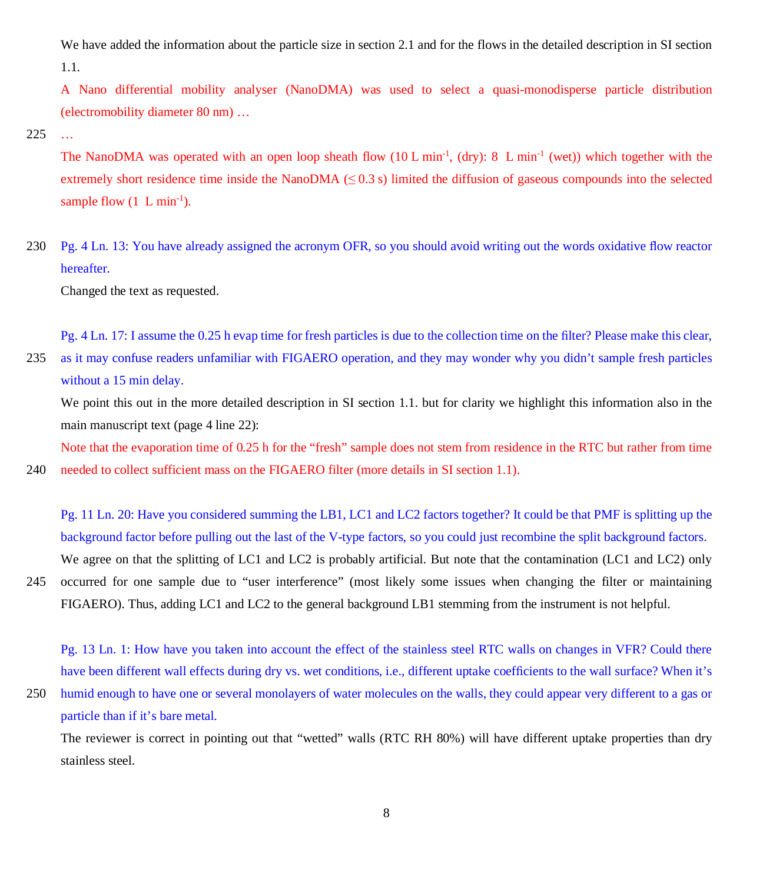We have added the information about the particle size in section 2.1 and for the flows in the detailed description in SI section 1.1.

A Nano differential mobility analyser (NanoDMA) was used to select a quasi-monodisperse particle distribution (electromobility diameter 80 nm) …

225 …

The NanoDMA was operated with an open loop sheath flow (10 L min<sup>-1</sup>, (dry): 8 L min<sup>-1</sup> (wet)) which together with the extremely short residence time inside the NanoDMA  $(\leq 0.3 \text{ s})$  limited the diffusion of gaseous compounds into the selected sample flow  $(1 \text{ L min}^{-1})$ .

230 Pg. 4 Ln. 13: You have already assigned the acronym OFR, so you should avoid writing out the words oxidative flow reactor hereafter.

Changed the text as requested.

Pg. 4 Ln. 17: I assume the 0.25 h evap time for fresh particles is due to the collection time on the filter? Please make this clear, 235 as it may confuse readers unfamiliar with FIGAERO operation, and they may wonder why you didn't sample fresh particles without a 15 min delay.

We point this out in the more detailed description in SI section 1.1. but for clarity we highlight this information also in the main manuscript text (page 4 line 22):

Note that the evaporation time of 0.25 h for the "fresh" sample does not stem from residence in the RTC but rather from time 240 needed to collect sufficient mass on the FIGAERO filter (more details in SI section 1.1).

Pg. 11 Ln. 20: Have you considered summing the LB1, LC1 and LC2 factors together? It could be that PMF is splitting up the background factor before pulling out the last of the V-type factors, so you could just recombine the split background factors. We agree on that the splitting of LC1 and LC2 is probably artificial. But note that the contamination (LC1 and LC2) only

245 occurred for one sample due to "user interference" (most likely some issues when changing the filter or maintaining FIGAERO). Thus, adding LC1 and LC2 to the general background LB1 stemming from the instrument is not helpful.

Pg. 13 Ln. 1: How have you taken into account the effect of the stainless steel RTC walls on changes in VFR? Could there have been different wall effects during dry vs. wet conditions, i.e., different uptake coefficients to the wall surface? When it's

250 humid enough to have one or several monolayers of water molecules on the walls, they could appear very different to a gas or particle than if it's bare metal.

The reviewer is correct in pointing out that "wetted" walls (RTC RH 80%) will have different uptake properties than dry stainless steel.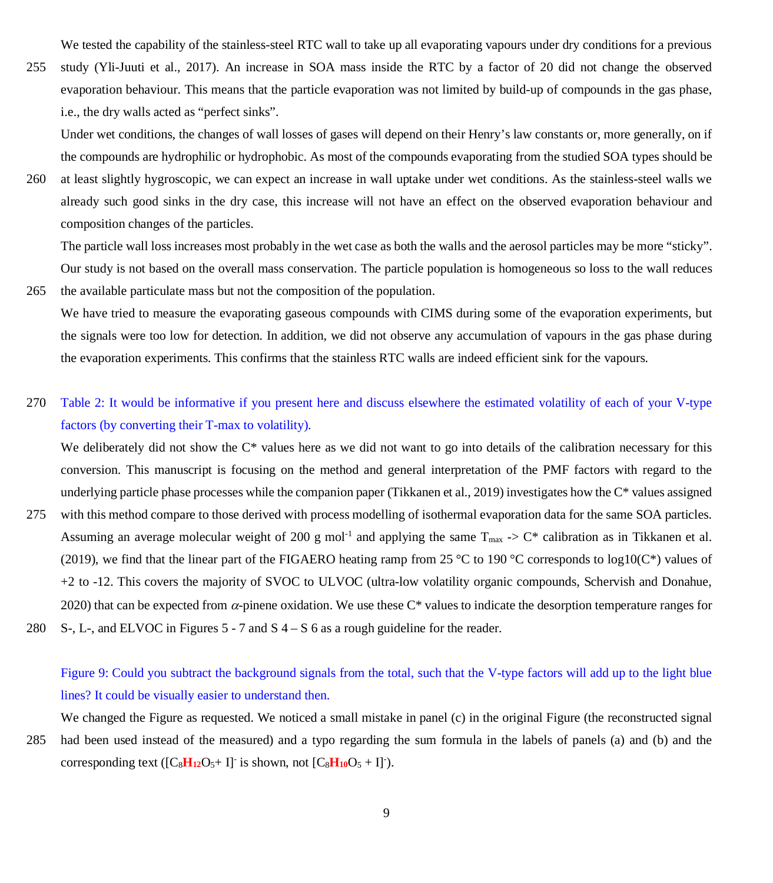We tested the capability of the stainless-steel RTC wall to take up all evaporating vapours under dry conditions for a previous

255 study (Yli-Juuti et al., 2017). An increase in SOA mass inside the RTC by a factor of 20 did not change the observed evaporation behaviour. This means that the particle evaporation was not limited by build-up of compounds in the gas phase, i.e., the dry walls acted as "perfect sinks".

Under wet conditions, the changes of wall losses of gases will depend on their Henry's law constants or, more generally, on if the compounds are hydrophilic or hydrophobic. As most of the compounds evaporating from the studied SOA types should be

260 at least slightly hygroscopic, we can expect an increase in wall uptake under wet conditions. As the stainless-steel walls we already such good sinks in the dry case, this increase will not have an effect on the observed evaporation behaviour and composition changes of the particles.

The particle wall loss increases most probably in the wet case as both the walls and the aerosol particles may be more "sticky". Our study is not based on the overall mass conservation. The particle population is homogeneous so loss to the wall reduces

- 265 the available particulate mass but not the composition of the population. We have tried to measure the evaporating gaseous compounds with CIMS during some of the evaporation experiments, but the signals were too low for detection. In addition, we did not observe any accumulation of vapours in the gas phase during the evaporation experiments. This confirms that the stainless RTC walls are indeed efficient sink for the vapours.
- 270 Table 2: It would be informative if you present here and discuss elsewhere the estimated volatility of each of your V-type factors (by converting their T-max to volatility).

We deliberately did not show the C<sup>\*</sup> values here as we did not want to go into details of the calibration necessary for this conversion. This manuscript is focusing on the method and general interpretation of the PMF factors with regard to the underlying particle phase processes while the companion paper (Tikkanen et al., 2019) investigates how the C\* values assigned

- 275 with this method compare to those derived with process modelling of isothermal evaporation data for the same SOA particles. Assuming an average molecular weight of 200 g mol<sup>-1</sup> and applying the same  $T_{\text{max}} > C^*$  calibration as in Tikkanen et al. (2019), we find that the linear part of the FIGAERO heating ramp from 25 °C to 190 °C corresponds to log10( $C^*$ ) values of +2 to -12. This covers the majority of SVOC to ULVOC (ultra-low volatility organic compounds, Schervish and Donahue, 2020) that can be expected from  $\alpha$ -pinene oxidation. We use these C\* values to indicate the desorption temperature ranges for
- 280 S-, L-, and ELVOC in Figures 5 7 and S 4 S 6 as a rough guideline for the reader.

# Figure 9: Could you subtract the background signals from the total, such that the V-type factors will add up to the light blue lines? It could be visually easier to understand then.

We changed the Figure as requested. We noticed a small mistake in panel (c) in the original Figure (the reconstructed signal

285 had been used instead of the measured) and a typo regarding the sum formula in the labels of panels (a) and (b) and the corresponding text ( $[C_8H_{12}O_5+I]$ <sup>-</sup> is shown, not  $[C_8H_{10}O_5+I]$ <sup>-</sup>).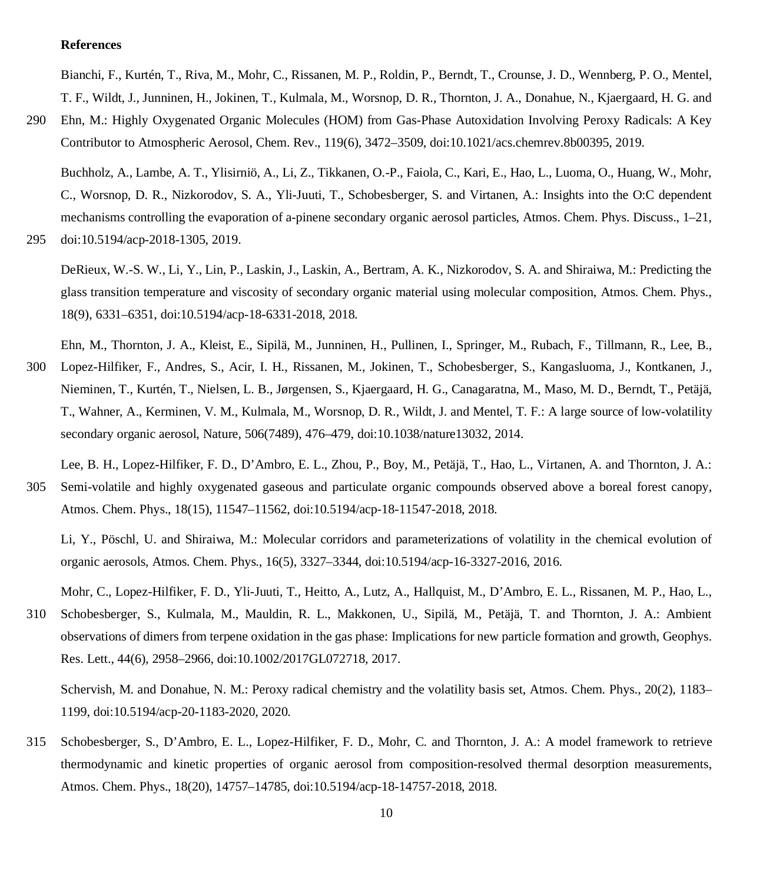# **References**

Bianchi, F., Kurtén, T., Riva, M., Mohr, C., Rissanen, M. P., Roldin, P., Berndt, T., Crounse, J. D., Wennberg, P. O., Mentel, T. F., Wildt, J., Junninen, H., Jokinen, T., Kulmala, M., Worsnop, D. R., Thornton, J. A., Donahue, N., Kjaergaard, H. G. and

290 Ehn, M.: Highly Oxygenated Organic Molecules (HOM) from Gas-Phase Autoxidation Involving Peroxy Radicals: A Key Contributor to Atmospheric Aerosol, Chem. Rev., 119(6), 3472–3509, doi:10.1021/acs.chemrev.8b00395, 2019.

Buchholz, A., Lambe, A. T., Ylisirniö, A., Li, Z., Tikkanen, O.-P., Faiola, C., Kari, E., Hao, L., Luoma, O., Huang, W., Mohr, C., Worsnop, D. R., Nizkorodov, S. A., Yli-Juuti, T., Schobesberger, S. and Virtanen, A.: Insights into the O:C dependent mechanisms controlling the evaporation of a-pinene secondary organic aerosol particles, Atmos. Chem. Phys. Discuss., 1–21,

295 doi:10.5194/acp-2018-1305, 2019.

DeRieux, W.-S. W., Li, Y., Lin, P., Laskin, J., Laskin, A., Bertram, A. K., Nizkorodov, S. A. and Shiraiwa, M.: Predicting the glass transition temperature and viscosity of secondary organic material using molecular composition, Atmos. Chem. Phys., 18(9), 6331–6351, doi:10.5194/acp-18-6331-2018, 2018.

Ehn, M., Thornton, J. A., Kleist, E., Sipilä, M., Junninen, H., Pullinen, I., Springer, M., Rubach, F., Tillmann, R., Lee, B.,

300 Lopez-Hilfiker, F., Andres, S., Acir, I. H., Rissanen, M., Jokinen, T., Schobesberger, S., Kangasluoma, J., Kontkanen, J., Nieminen, T., Kurtén, T., Nielsen, L. B., Jørgensen, S., Kjaergaard, H. G., Canagaratna, M., Maso, M. D., Berndt, T., Petäjä, T., Wahner, A., Kerminen, V. M., Kulmala, M., Worsnop, D. R., Wildt, J. and Mentel, T. F.: A large source of low-volatility secondary organic aerosol, Nature, 506(7489), 476–479, doi:10.1038/nature13032, 2014.

Lee, B. H., Lopez-Hilfiker, F. D., D'Ambro, E. L., Zhou, P., Boy, M., Petäjä, T., Hao, L., Virtanen, A. and Thornton, J. A.: 305 Semi-volatile and highly oxygenated gaseous and particulate organic compounds observed above a boreal forest canopy, Atmos. Chem. Phys., 18(15), 11547–11562, doi:10.5194/acp-18-11547-2018, 2018.

Mohr, C., Lopez-Hilfiker, F. D., Yli-Juuti, T., Heitto, A., Lutz, A., Hallquist, M., D'Ambro, E. L., Rissanen, M. P., Hao, L.,

310 Schobesberger, S., Kulmala, M., Mauldin, R. L., Makkonen, U., Sipilä, M., Petäjä, T. and Thornton, J. A.: Ambient observations of dimers from terpene oxidation in the gas phase: Implications for new particle formation and growth, Geophys. Res. Lett., 44(6), 2958–2966, doi:10.1002/2017GL072718, 2017.

Schervish, M. and Donahue, N. M.: Peroxy radical chemistry and the volatility basis set, Atmos. Chem. Phys., 20(2), 1183– 1199, doi:10.5194/acp-20-1183-2020, 2020.

315 Schobesberger, S., D'Ambro, E. L., Lopez-Hilfiker, F. D., Mohr, C. and Thornton, J. A.: A model framework to retrieve thermodynamic and kinetic properties of organic aerosol from composition-resolved thermal desorption measurements, Atmos. Chem. Phys., 18(20), 14757–14785, doi:10.5194/acp-18-14757-2018, 2018.

Li, Y., Pöschl, U. and Shiraiwa, M.: Molecular corridors and parameterizations of volatility in the chemical evolution of organic aerosols, Atmos. Chem. Phys., 16(5), 3327–3344, doi:10.5194/acp-16-3327-2016, 2016.